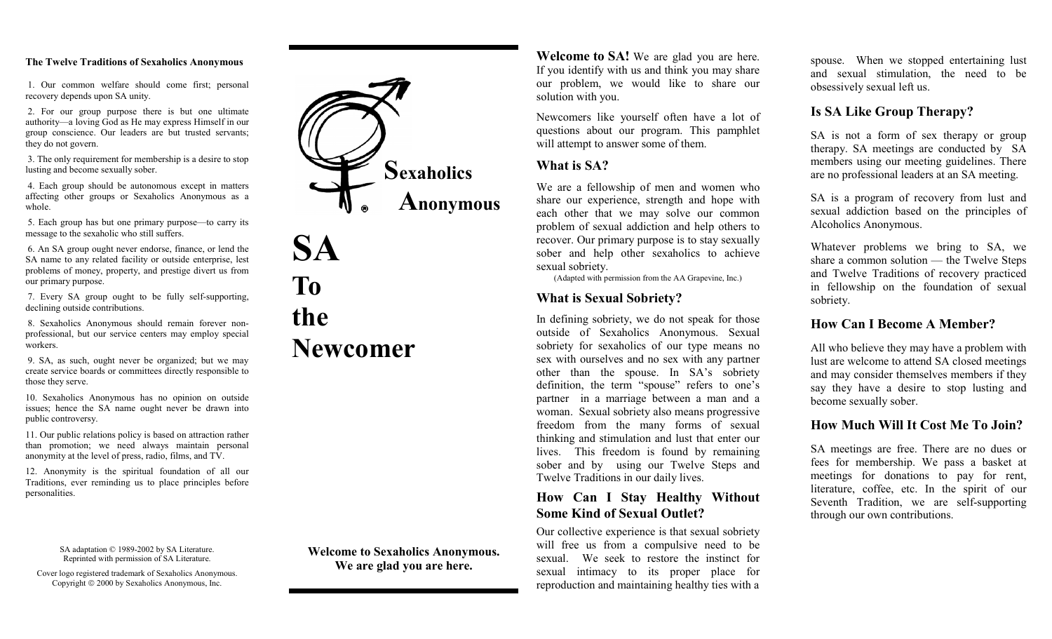#### **The Twelve Traditions of Sexaholics Anonymous**

 1. Our common welfare should come first; personal recovery depends upon SA unity.

 2. For our group purpose there is but one ultimate authority—a loving God as He may express Himself in our group conscience. Our leaders are but trusted servants; they do not govern.

 3. The only requirement for membership is a desire to stop lusting and become sexually sober.

 4. Each group should be autonomous except in matters affecting other groups or Sexaholics Anonymous as a whole.

 5. Each group has but one primary purpose—to carry its message to the sexaholic who still suffers.

 6. An SA group ought never endorse, finance, or lend the SA name to any related facility or outside enterprise, lest problems of money, property, and prestige divert us from our primary purpose.

 7. Every SA group ought to be fully self-supporting, declining outside contributions.

 8. Sexaholics Anonymous should remain forever nonprofessional, but our service centers may employ special workers.

 9. SA, as such, ought never be organized; but we may create service boards or committees directly responsible to those they serve.

10. Sexaholics Anonymous has no opinion on outside issues; hence the SA name ought never be drawn into public controversy.

11. Our public relations policy is based on attraction rather than promotion; we need always maintain personal anonymity at the level of press, radio, films, and TV.

12. Anonymity is the spiritual foundation of all our Traditions, ever reminding us to place principles before personalities.

> SA adaptation © 1989-2002 by SA Literature. Reprinted with permission of SA Literature.

Cover logo registered trademark of Sexaholics Anonymous. Copyright 2000 by Sexaholics Anonymous, Inc.



**To the Newcomer** 

**SA** 

**Welcome to Sexaholics Anonymous. We are glad you are here.** 

**Welcome to SA!** We are glad you are here. If you identify with us and think you may share our problem, we would like to share our solution with you.

Newcomers like yourself often have a lot of questions about our program. This pamphlet will attempt to answer some of them.

### **What is SA?**

We are a fellowship of men and women who share our experience, strength and hope with each other that we may solve our common problem of sexual addiction and help others to recover. Our primary purpose is to stay sexually sober and help other sexaholics to achieve sexual sobriety.

(Adapted with permission from the AA Grapevine, Inc.)

## **What is Sexual Sobriety?**

In defining sobriety, we do not speak for those outside of Sexaholics Anonymous. Sexual sobriety for sexaholics of our type means no sex with ourselves and no sex with any partner other than the spouse. In SA's sobriety definition, the term "spouse" refers to one's partner in a marriage between a man and a woman. Sexual sobriety also means progressive freedom from the many forms of sexual thinking and stimulation and lust that enter our lives. This freedom is found by remaining sober and by using our Twelve Steps and Twelve Traditions in our daily lives.

## **How Can I Stay Healthy Without Some Kind of Sexual Outlet?**

Our collective experience is that sexual sobriety will free us from a compulsive need to be sexual. We seek to restore the instinct for sexual intimacy to its proper place for reproduction and maintaining healthy ties with a spouse. When we stopped entertaining lust and sexual stimulation, the need to be obsessively sexual left us.

## **Is SA Like Group Therapy?**

SA is not a form of sex therapy or group therapy. SA meetings are conducted by SA members using our meeting guidelines. There are no professional leaders at an SA meeting.

SA is a program of recovery from lust and sexual addiction based on the principles of Alcoholics Anonymous.

Whatever problems we bring to SA, we share a common solution — the Twelve Steps and Twelve Traditions of recovery practiced in fellowship on the foundation of sexual sobriety.

## **How Can I Become A Member?**

All who believe they may have a problem with lust are welcome to attend SA closed meetings and may consider themselves members if they say they have a desire to stop lusting and become sexually sober.

## **How Much Will It Cost Me To Join?**

SA meetings are free. There are no dues or fees for membership. We pass a basket at meetings for donations to pay for rent, literature, coffee, etc. In the spirit of our Seventh Tradition, we are self-supporting through our own contributions.